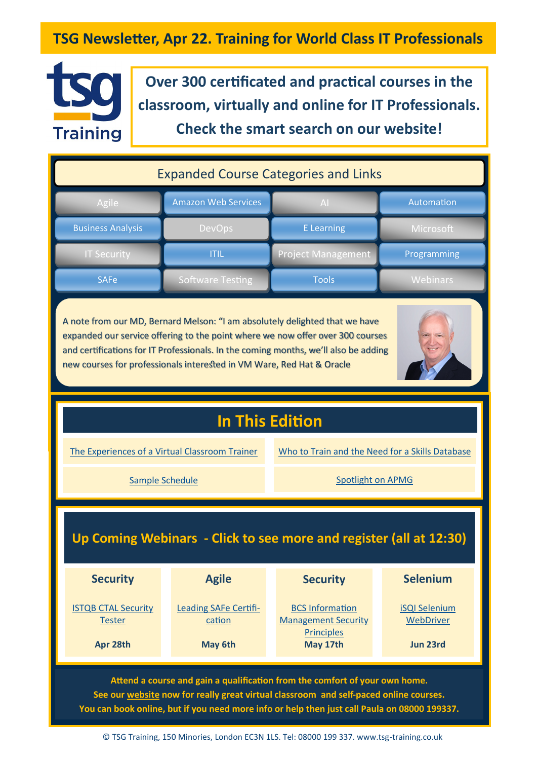## **TSG Newsletter, Apr 22. Training for World Class IT Professionals**



**Over 300 certificated and practical courses in the classroom, virtually and online for IT Professionals. Check the smart search on our website!**

| <b>Expanded Course Categories and Links</b> |                            |                           |                  |  |  |
|---------------------------------------------|----------------------------|---------------------------|------------------|--|--|
| Agile                                       | <b>Amazon Web Services</b> | AI                        | Automation       |  |  |
| <b>Business Analysis</b>                    | <b>DevOps</b>              | <b>E</b> Learning         | <b>Microsoft</b> |  |  |
| <b>IT Security</b>                          | <b>ITIL</b>                | <b>Project Management</b> | Programming      |  |  |
| <b>SAFe</b>                                 | Software Testing           | <b>Tools</b>              | <b>Webinars</b>  |  |  |

A note from our MD, Bernard Melson: "I am absolutely delighted that we have expanded our service offering to the point where we now offer over 300 courses and certifications for IT Professionals. In the coming months, we'll also be adding new courses for professionals interested in VM Ware, Red Hat & Oracle



# **In This Edition**

[The Experiences of a Virtual Classroom Trainer](#page-2-0)

[Who to Train and the Need for a Skills Database](#page-1-0)

[Sample Schedule](#page-4-0) Sample Schedule Spotlight on APMG

## **Up Coming Webinars - Click to see more and register (all at 12:30)**

| <b>Security</b>                             | <b>Agile</b>                    | <b>Security</b>                                      | <b>Selenium</b>                   |
|---------------------------------------------|---------------------------------|------------------------------------------------------|-----------------------------------|
| <b>ISTQB CTAL Security</b><br><b>Tester</b> | Leading SAFe Certifi-<br>cation | <b>BCS Information</b><br><b>Management Security</b> | <b>iSQI Selenium</b><br>WebDriver |
| Apr 28th                                    | May 6th                         | <b>Principles</b><br>May 17th                        | Jun 23rd                          |

**Attend a course and gain a qualification from the comfort of your own home. See our [website](https://www.tsg-training.co.uk/) now for really great virtual classroom and self-paced online courses. You can book online, but if you need more info or help then just call Paula on 08000 199337.**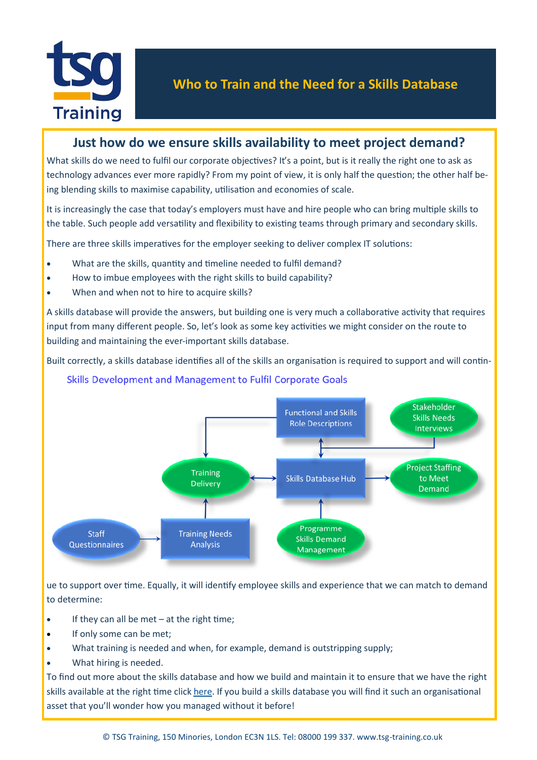<span id="page-1-0"></span>

### **Just how do we ensure skills availability to meet project demand?**

What skills do we need to fulfil our corporate objectives? It's a point, but is it really the right one to ask as technology advances ever more rapidly? From my point of view, it is only half the question; the other half being blending skills to maximise capability, utilisation and economies of scale.

It is increasingly the case that today's employers must have and hire people who can bring multiple skills to the table. Such people add versatility and flexibility to existing teams through primary and secondary skills.

There are three skills imperatives for the employer seeking to deliver complex IT solutions:

- What are the skills, quantity and timeline needed to fulfil demand?
- How to imbue employees with the right skills to build capability?
- When and when not to hire to acquire skills?

A skills database will provide the answers, but building one is very much a collaborative activity that requires input from many different people. So, let's look as some key activities we might consider on the route to building and maintaining the ever-important skills database.

Built correctly, a skills database identifies all of the skills an organisation is required to support and will contin-

#### Skills Development and Management to Fulfil Corporate Goals



ue to support over time. Equally, it will identify employee skills and experience that we can match to demand to determine:

- If they can all be met  $-$  at the right time;
- If only some can be met:
- What training is needed and when, for example, demand is outstripping supply;
- What hiring is needed.

To find out more about the skills database and how we build and maintain it to ensure that we have the right skills available at the right time click [here.](https://www.tsg-training.co.uk/the-skills-database-and-why-it-is-an-important-asset/) If you build a skills database you will find it such an organisational asset that you'll wonder how you managed without it before!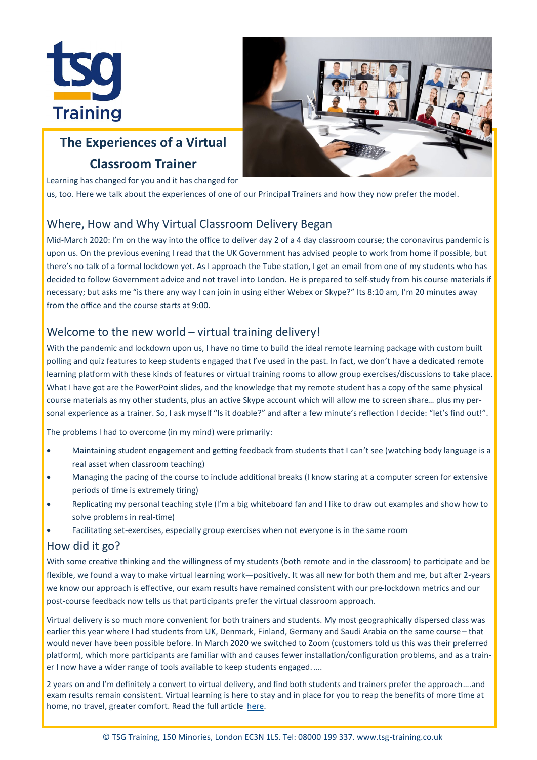<span id="page-2-0"></span>



# **The Experiences of a Virtual Classroom Trainer**

Learning has changed for you and it has changed for

us, too. Here we talk about the experiences of one of our Principal Trainers and how they now prefer the model.

### Where, How and Why Virtual Classroom Delivery Began

Mid-March 2020: I'm on the way into the office to deliver day 2 of a 4 day classroom course; the coronavirus pandemic is upon us. On the previous evening I read that the UK Government has advised people to work from home if possible, but there's no talk of a formal lockdown yet. As I approach the Tube station, I get an email from one of my students who has decided to follow Government advice and not travel into London. He is prepared to self-study from his course materials if necessary; but asks me "is there any way I can join in using either Webex or Skype?" Its 8:10 am, I'm 20 minutes away from the office and the course starts at 9:00.

#### Welcome to the new world – virtual training delivery!

With the pandemic and lockdown upon us, I have no time to build the ideal remote learning package with custom built polling and quiz features to keep students engaged that I've used in the past. In fact, we don't have a dedicated remote learning platform with these kinds of features or virtual training rooms to allow group exercises/discussions to take place. What I have got are the PowerPoint slides, and the knowledge that my remote student has a copy of the same physical course materials as my other students, plus an active Skype account which will allow me to screen share… plus my personal experience as a trainer. So, I ask myself "Is it doable?" and after a few minute's reflection I decide: "let's find out!".

The problems I had to overcome (in my mind) were primarily:

- Maintaining student engagement and getting feedback from students that I can't see (watching body language is a real asset when classroom teaching)
- Managing the pacing of the course to include additional breaks (I know staring at a computer screen for extensive periods of time is extremely tiring)
- Replicating my personal teaching style (I'm a big whiteboard fan and I like to draw out examples and show how to solve problems in real-time)
- Facilitating set-exercises, especially group exercises when not everyone is in the same room

#### How did it go?

With some creative thinking and the willingness of my students (both remote and in the classroom) to participate and be flexible, we found a way to make virtual learning work—positively. It was all new for both them and me, but after 2-years we know our approach is effective, our exam results have remained consistent with our pre-lockdown metrics and our post-course feedback now tells us that participants prefer the virtual classroom approach.

Virtual delivery is so much more convenient for both trainers and students. My most geographically dispersed class was earlier this year where I had students from UK, Denmark, Finland, Germany and Saudi Arabia on the same course – that would never have been possible before. In March 2020 we switched to Zoom (customers told us this was their preferred platform), which more participants are familiar with and causes fewer installation/configuration problems, and as a trainer I now have a wider range of tools available to keep students engaged. ….

2 years on and I'm definitely a convert to virtual delivery, and find both students and trainers prefer the approach….and exam results remain consistent. Virtual learning is here to stay and in place for you to reap the benefits of more time at home, no travel, greater comfort. Read the full article [here.](https://www.tsg-training.co.uk/the-experiences-of-a-trainer-delivering-virtual-classroom-learning-to-distributed-students/)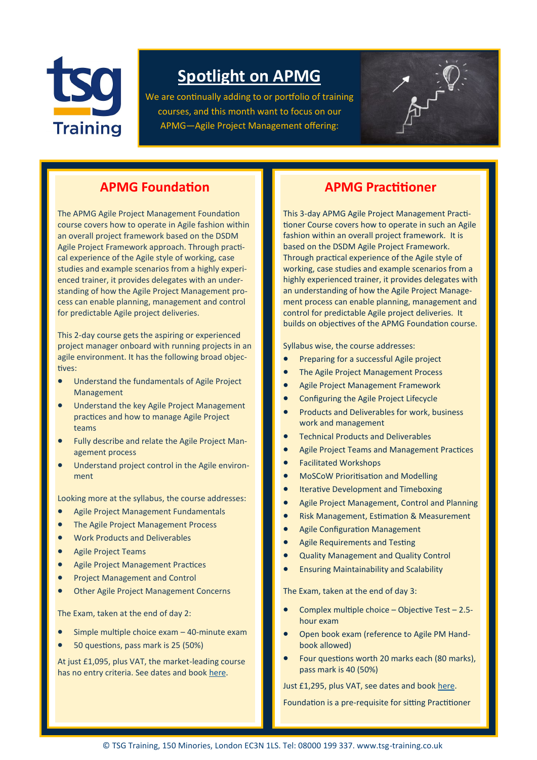

# **Spotlight on APMG**

We are continually adding to or portfolio of training courses, and this month want to focus on our APMG—Agile Project Management offering:



### **APMG Foundation**

The APMG Agile Project Management Foundation course covers how to operate in Agile fashion within an overall project framework based on the DSDM Agile Project Framework approach. Through practical experience of the Agile style of working, case studies and example scenarios from a highly experienced trainer, it provides delegates with an understanding of how the Agile Project Management process can enable planning, management and control for predictable Agile project deliveries.

This 2-day course gets the aspiring or experienced project manager onboard with running projects in an agile environment. It has the following broad objectives:

- Understand the fundamentals of Agile Project Management
- Understand the key Agile Project Management practices and how to manage Agile Project teams
- Fully describe and relate the Agile Project Management process
- Understand project control in the Agile environment

Looking more at the syllabus, the course addresses:

- Agile Project Management Fundamentals
- The Agile Project Management Process
- Work Products and Deliverables
- Agile Project Teams
- Agile Project Management Practices
- Project Management and Control
- Other Agile Project Management Concerns

The Exam, taken at the end of day 2:

- Simple multiple choice exam 40-minute exam
- 50 questions, pass mark is 25 (50%)

At just £1,095, plus VAT, the market-leading course has no entry criteria. See dates and book [here.](https://www.tsg-training.co.uk/course/agile-project-management-foundation/)

#### **APMG Practitioner**

This 3-day APMG Agile Project Management Practitioner Course covers how to operate in such an Agile fashion within an overall project framework. It is based on the DSDM Agile Project Framework. Through practical experience of the Agile style of working, case studies and example scenarios from a highly experienced trainer, it provides delegates with an understanding of how the Agile Project Management process can enable planning, management and control for predictable Agile project deliveries. It builds on objectives of the APMG Foundation course.

Syllabus wise, the course addresses:

- Preparing for a successful Agile project
- The Agile Project Management Process
- Agile Project Management Framework
- Configuring the Agile Project Lifecycle
- Products and Deliverables for work, business work and management
- Technical Products and Deliverables
- Agile Project Teams and Management Practices
- Facilitated Workshops
- MoSCoW Prioritisation and Modelling
- Iterative Development and Timeboxing
- Agile Project Management, Control and Planning
- Risk Management, Estimation & Measurement
- Agile Configuration Management
- Agile Requirements and Testing
- Quality Management and Quality Control
- Ensuring Maintainability and Scalability

The Exam, taken at the end of day 3:

- Complex multiple choice Objective Test 2.5 hour exam
- Open book exam (reference to Agile PM Handbook allowed)
- Four questions worth 20 marks each (80 marks), pass mark is 40 (50%)

Just £1,295, plus VAT, see dates and book [here.](https://www.tsg-training.co.uk/course/agile-project-management-foundation/)

Foundation is a pre-requisite for sitting Practitioner